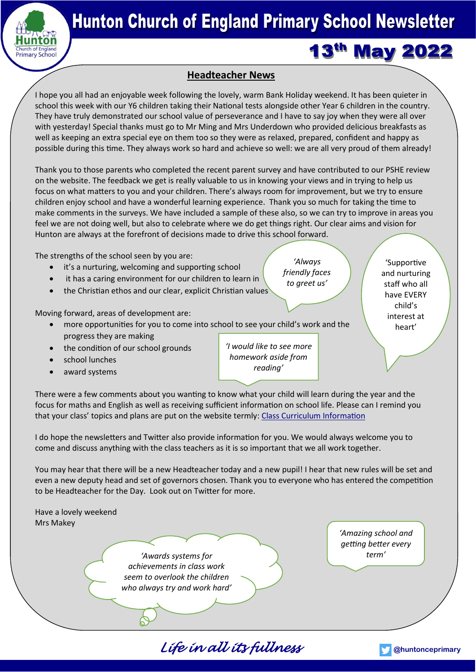

# **13<sup>th</sup> May 2022**

### **Headteacher News**

I hope you all had an enjoyable week following the lovely, warm Bank Holiday weekend. It has been quieter in school this week with our Y6 children taking their National tests alongside other Year 6 children in the country. They have truly demonstrated our school value of perseverance and I have to say joy when they were all over with yesterday! Special thanks must go to Mr Ming and Mrs Underdown who provided delicious breakfasts as well as keeping an extra special eye on them too so they were as relaxed, prepared, confident and happy as possible during this time. They always work so hard and achieve so well: we are all very proud of them already!

Thank you to those parents who completed the recent parent survey and have contributed to our PSHE review on the website. The feedback we get is really valuable to us in knowing your views and in trying to help us focus on what matters to you and your children. There's always room for improvement, but we try to ensure children enjoy school and have a wonderful learning experience. Thank you so much for taking the time to make comments in the surveys. We have included a sample of these also, so we can try to improve in areas you feel we are not doing well, but also to celebrate where we do get things right. Our clear aims and vision for Hunton are always at the forefront of decisions made to drive this school forward.

The strengths of the school seen by you are:

- it's a nurturing, welcoming and supporting school
- it has a caring environment for our children to learn in
- the Christian ethos and our clear, explicit Christian values

Moving forward, areas of development are:

- more opportunities for you to come into school to see your child's work and the progress they are making
- the condition of our school grounds
- school lunches
- award systems

*'I would like to see more homework aside from reading'*

There were a few comments about you wanting to know what your child will learn during the year and the focus for maths and English as well as receiving sufficient information on school life. Please can I remind you that your class' topics and plans are put on the website termly: [Class Curriculum Information](https://hunton.kent.sch.uk/curriculum/class-curriculum-information/)

I do hope the newsletters and Twitter also provide information for you. We would always welcome you to come and discuss anything with the class teachers as it is so important that we all work together.

You may hear that there will be a new Headteacher today and a new pupil! I hear that new rules will be set and even a new deputy head and set of governors chosen. Thank you to everyone who has entered the competition to be Headteacher for the Day. Look out on Twitter for more.

*Life in all its fullness* **[@huntonceprimary](https://twitter.com/HuntonCEPrimary)** Have a lovely weekend Mrs Makey *'Amazing school and getting better every term' 'Awards systems for achievements in class work seem to overlook the children who always try and work hard'*



*'Always friendly faces* 

'Supportive and nurturing staff who all have EVERY child's interest at heart'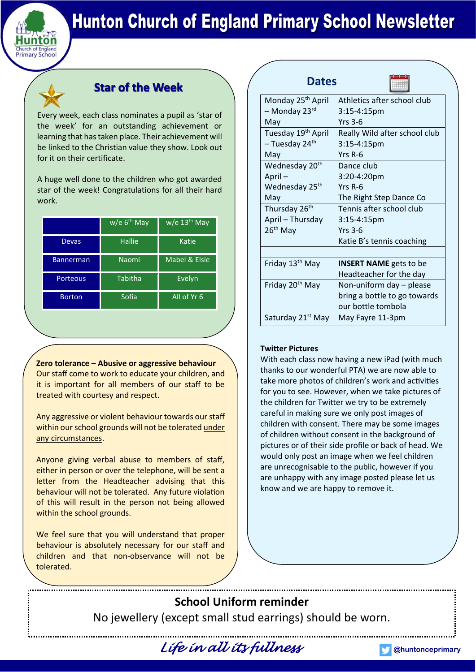

### **Star of the Week**

Every week, each class nominates a pupil as 'star of the week' for an outstanding achievement or learning that has taken place. Their achievement will be linked to the Christian value they show. Look out for it on their certificate.

A huge well done to the children who got awarded star of the week! Congratulations for all their hard work.

|                  | $w/e 6th$ May | $w/e$ 13 <sup>th</sup> May |
|------------------|---------------|----------------------------|
| Devas            | Hallie        | Katie                      |
| <b>Bannerman</b> | Naomi         | Mabel & Elsie              |
| Porteous         | Tabitha       | Evelyn                     |
| <b>Borton</b>    | Sofia         | All of Yr 6                |

**Zero tolerance – Abusive or aggressive behaviour** Our staff come to work to educate your children, and it is important for all members of our staff to be treated with courtesy and respect.

Any aggressive or violent behaviour towards our staff within our school grounds will not be tolerated under any circumstances.

Anyone giving verbal abuse to members of staff, either in person or over the telephone, will be sent a letter from the Headteacher advising that this behaviour will not be tolerated. Any future violation of this will result in the person not being allowed within the school grounds.

We feel sure that you will understand that proper behaviour is absolutely necessary for our staff and children and that non-observance will not be tolerated.

| <b>Dates</b>                   |                               |
|--------------------------------|-------------------------------|
| Monday 25 <sup>th</sup> April  | Athletics after school club   |
| – Monday 23 <sup>rd</sup>      | $3:15-4:15$ pm                |
| May                            | <b>Yrs 3-6</b>                |
| Tuesday 19 <sup>th</sup> April | Really Wild after school club |
| - Tuesday 24 <sup>th</sup>     | 3:15-4:15pm                   |
| May                            | Yrs R-6                       |
| Wednesday 20 <sup>th</sup>     | Dance club                    |
| April-                         | 3:20-4:20pm                   |
| Wednesday 25 <sup>th</sup>     | $Yrs$ R-6                     |
| May                            | The Right Step Dance Co       |
| Thursday 26 <sup>th</sup>      | Tennis after school club      |
| April - Thursday               | 3:15-4:15pm                   |
| $26th$ May                     | Yrs $3-6$                     |
|                                | Katie B's tennis coaching     |
|                                |                               |
| Friday 13 <sup>th</sup> May    | <b>INSERT NAME</b> gets to be |
|                                | Headteacher for the day       |
| Friday 20 <sup>th</sup> May    | Non-uniform day - please      |
|                                | bring a bottle to go towards  |
|                                | our bottle tombola            |
| Saturday 21 <sup>st</sup> May  | May Fayre 11-3pm              |

### **Twitter Pictures**

With each class now having a new iPad (with much thanks to our wonderful PTA) we are now able to take more photos of children's work and activities for you to see. However, when we take pictures of the children for Twitter we try to be extremely careful in making sure we only post images of children with consent. There may be some images of children without consent in the background of pictures or of their side profile or back of head. We would only post an image when we feel children are unrecognisable to the public, however if you are unhappy with any image posted please let us know and we are happy to remove it.

**School Uniform reminder** No jewellery (except small stud earrings) should be worn.



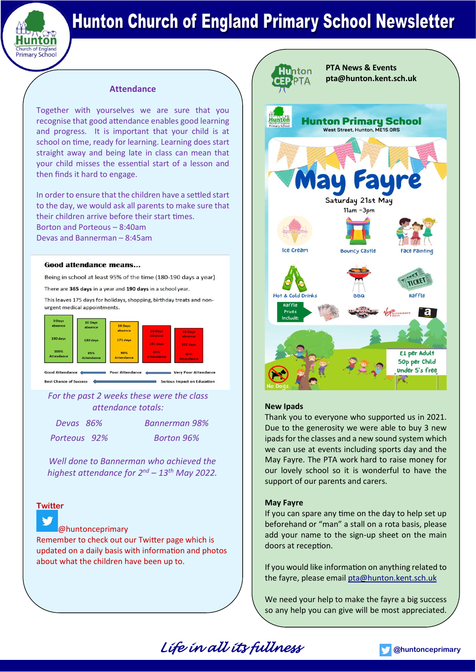

#### **Attendance**

Together with yourselves we are sure that you recognise that good attendance enables good learning and progress. It is important that your child is at school on time, ready for learning. Learning does start straight away and being late in class can mean that your child misses the essential start of a lesson and then finds it hard to engage.

In order to ensure that the children have a settled start to the day, we would ask all parents to make sure that their children arrive before their start times. Borton and Porteous – 8:40am Devas and Bannerman – 8:45am

#### **Good attendance means...**

Being in school at least 95% of the time (180-190 days a year)

There are 365 days in a year and 190 days in a school year.

This leaves 175 days for holidays, shopping, birthday treats and nonurgent medical appointments.



Best Chance of Success Serious Impact on Education

*For the past 2 weeks these were the class attendance totals:*

*Devas 86% Bannerman 98% Porteous 92% Borton 96%*

*Well done to Bannerman who achieved the highest attendance for 2<sup>nd</sup> – 13<sup>th</sup> May 2022.* 

### **Twitter**

#### [@huntonceprimary](https://twitter.com/HuntonCEPrimary)

Remember to check out our Twitter page which is updated on a daily basis with information and photos about what the children have been up to.



#### **New Ipads**

Thank you to everyone who supported us in 2021. Due to the generosity we were able to buy 3 new ipads for the classes and a new sound system which we can use at events including sports day and the May Fayre. The PTA work hard to raise money for our lovely school so it is wonderful to have the support of our parents and carers.

#### **May Fayre**

 $\sim$ 

If you can spare any time on the day to help set up beforehand or "man" a stall on a rota basis, please add your name to the sign-up sheet on the main doors at reception.

If you would like information on anything related to the fayre, please email [pta@hunton.kent.sch.uk](mailto:pta@hunton.kent.sch.uk)

We need your help to make the fayre a big success so any help you can give will be most appreciated.